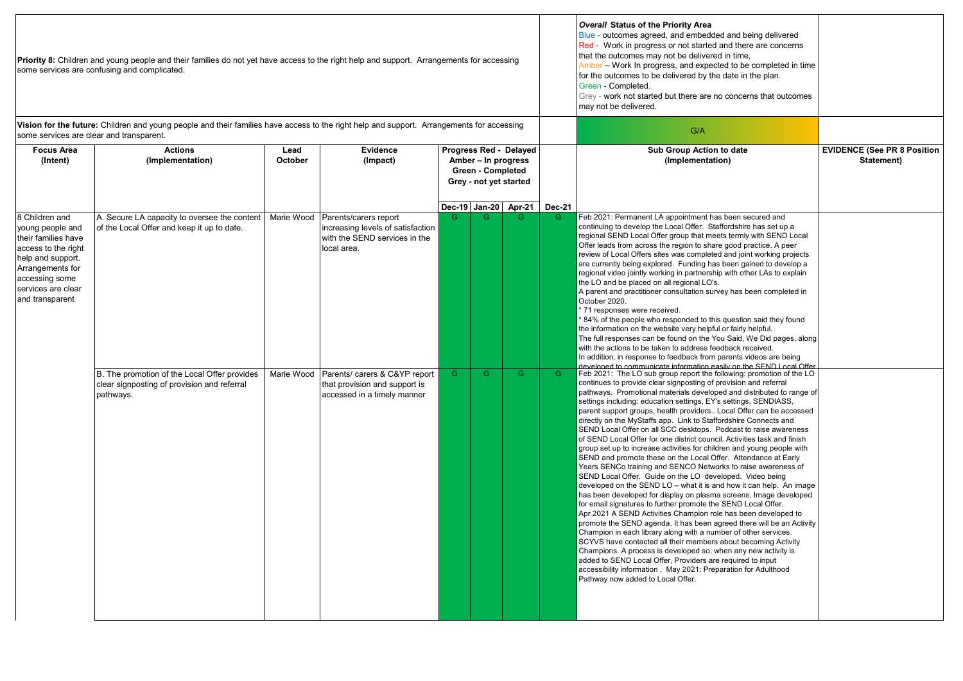| some services are clear and transparent.                                                                                                                                             | Priority 8: Children and young people and their families do not yet have access to the right help and support. Arrangements for accessing<br>some services are confusing and complicated.<br>Vision for the future: Children and young people and their families have access to the right help and support. Arrangements for accessing |                          |                                                                                                                                                                                                             |                                                                                                     |                     |                  |                         | <b>Overall Status of the Priority Area</b><br>Blue - outcomes agreed, and embedded and being delivered<br>Red - Work in progress or not started and there are concerns<br>that the outcomes may not be delivered in time,<br>Amber – Work In progress, and expected to be completed in time<br>for the outcomes to be delivered by the date in the plan.<br>Green - Completed.<br>Grey - work not started but there are no concerns that outcomes<br>may not be delivered.<br>G/A                                                                                                                                                                                                                                                                                                                                                                                                                                                                                                                                                                                                                                                                                                                                                                                                                                                                                                                                                                                                                                                                                                                                                                                                                                                                                                                                                                                                                                                                                                                                                                                                                                                                                                                                                                                                                                                                                                                                                                                                                                                                                                                                                                                                                |  |                                              |                                                  |
|--------------------------------------------------------------------------------------------------------------------------------------------------------------------------------------|----------------------------------------------------------------------------------------------------------------------------------------------------------------------------------------------------------------------------------------------------------------------------------------------------------------------------------------|--------------------------|-------------------------------------------------------------------------------------------------------------------------------------------------------------------------------------------------------------|-----------------------------------------------------------------------------------------------------|---------------------|------------------|-------------------------|--------------------------------------------------------------------------------------------------------------------------------------------------------------------------------------------------------------------------------------------------------------------------------------------------------------------------------------------------------------------------------------------------------------------------------------------------------------------------------------------------------------------------------------------------------------------------------------------------------------------------------------------------------------------------------------------------------------------------------------------------------------------------------------------------------------------------------------------------------------------------------------------------------------------------------------------------------------------------------------------------------------------------------------------------------------------------------------------------------------------------------------------------------------------------------------------------------------------------------------------------------------------------------------------------------------------------------------------------------------------------------------------------------------------------------------------------------------------------------------------------------------------------------------------------------------------------------------------------------------------------------------------------------------------------------------------------------------------------------------------------------------------------------------------------------------------------------------------------------------------------------------------------------------------------------------------------------------------------------------------------------------------------------------------------------------------------------------------------------------------------------------------------------------------------------------------------------------------------------------------------------------------------------------------------------------------------------------------------------------------------------------------------------------------------------------------------------------------------------------------------------------------------------------------------------------------------------------------------------------------------------------------------------------------------------------------------|--|----------------------------------------------|--------------------------------------------------|
| <b>Focus Area</b><br>(Intent)                                                                                                                                                        | <b>Actions</b><br>(Implementation)                                                                                                                                                                                                                                                                                                     | Lead<br>October          | Evidence<br>(Impact)                                                                                                                                                                                        | Progress Red - Delayed<br>Amber - In progress<br><b>Green - Completed</b><br>Grey - not yet started |                     |                  |                         |                                                                                                                                                                                                                                                                                                                                                                                                                                                                                                                                                                                                                                                                                                                                                                                                                                                                                                                                                                                                                                                                                                                                                                                                                                                                                                                                                                                                                                                                                                                                                                                                                                                                                                                                                                                                                                                                                                                                                                                                                                                                                                                                                                                                                                                                                                                                                                                                                                                                                                                                                                                                                                                                                                  |  | Sub Group Action to date<br>(Implementation) | <b>EVIDENCE (See PR 8 Position</b><br>Statement) |
| 8 Children and<br>young people and<br>their families have<br>access to the right<br>help and support.<br>Arrangements for<br>accessing some<br>services are clear<br>and transparent | A. Secure LA capacity to oversee the content<br>of the Local Offer and keep it up to date.<br>B. The promotion of the Local Offer provides<br>clear signposting of provision and referral<br>pathways.                                                                                                                                 | Marie Wood<br>Marie Wood | Parents/carers report<br>increasing levels of satisfaction<br>with the SEND services in the<br>local area.<br>Parents/ carers & C&YP report<br>that provision and support is<br>accessed in a timely manner | G<br>G                                                                                              | Dec-19 Jan-20<br>G. | Apr-21<br>G<br>G | <b>Dec-21</b><br>G<br>G | Feb 2021: Permanent LA appointment has been secured and<br>continuing to develop the Local Offer. Staffordshire has set up a<br>regional SEND Local Offer group that meets termly with SEND Local<br>Offer leads from across the region to share good practice. A peer<br>review of Local Offers sites was completed and joint working projects<br>are currently being explored. Funding has been gained to develop a<br>regional video jointly working in partnership with other LAs to explain<br>the LO and be placed on all regional LO's.<br>A parent and practitioner consultation survey has been completed in<br>October 2020.<br>71 responses were received.<br>84% of the people who responded to this question said they found<br>the information on the website very helpful or fairly helpful.<br>The full responses can be found on the You Said, We Did pages, along<br>with the actions to be taken to address feedback received.<br>In addition, in response to feedback from parents videos are being<br>developed to communicate information easily on the SEND Local Offer<br>Feb 2021: The LO sub group report the following: promotion of the LO<br>continues to provide clear signposting of provision and referral<br>pathways. Promotional materials developed and distributed to range of<br>settings including: education settings, EY's settings, SENDIASS,<br>parent support groups, health providers Local Offer can be accessed<br>directly on the MyStaffs app. Link to Staffordshire Connects and<br>SEND Local Offer on all SCC desktops. Podcast to raise awareness<br>of SEND Local Offer for one district council. Activities task and finish<br>group set up to increase activities for children and young people with<br>SEND and promote these on the Local Offer. Attendance at Early<br>Years SENCo training and SENCO Networks to raise awareness of<br>SEND Local Offer. Guide on the LO developed. Video being<br>developed on the SEND LO - what it is and how it can help. An image<br>has been developed for display on plasma screens. Image developed<br>for email signatures to further promote the SEND Local Offer.<br>Apr 2021 A SEND Activities Champion role has been developed to<br>promote the SEND agenda. It has been agreed there will be an Activity<br>Champion in each library along with a number of other services.<br>SCYVS have contacted all their members about becoming Activity<br>Champions. A process is developed so, when any new activity is<br>added to SEND Local Offer, Providers are required to input<br>accessibility information . May 2021: Preparation for Adulthood<br>Pathway now added to Local Offer. |  |                                              |                                                  |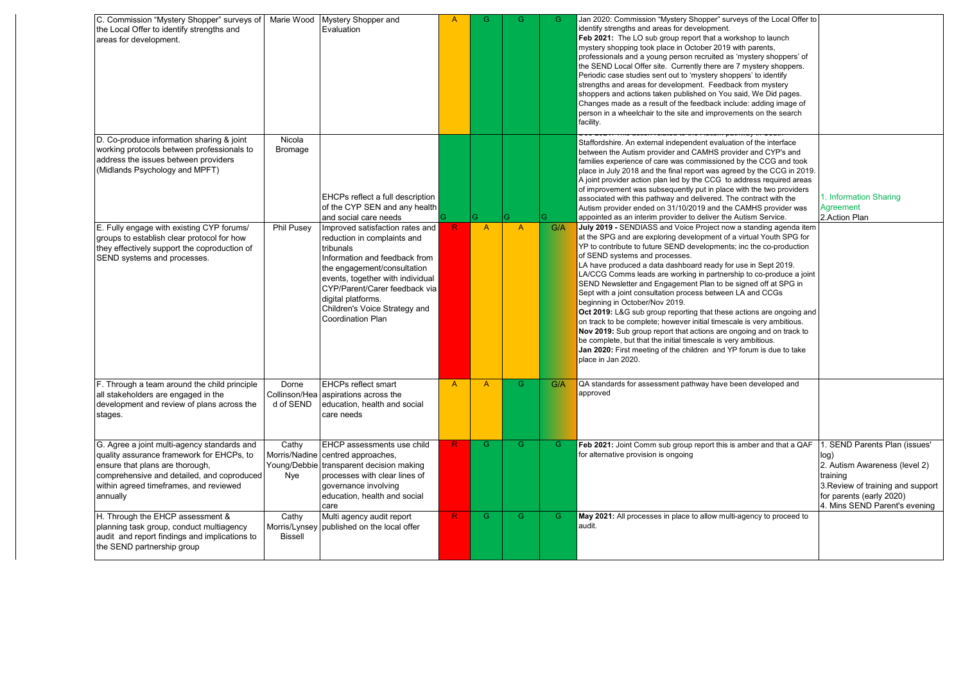| C. Commission "Mystery Shopper" surveys of<br>the Local Offer to identify strengths and<br>areas for development.                                                                                                               |                          | Marie Wood Mystery Shopper and<br>Evaluation                                                                                                                                                                                                                                                        | A            | G              | G              | G   | Jan 2020: Commission "Mystery Shopper" surveys of the Local Offer to<br>identify strengths and areas for development.<br>Feb 2021: The LO sub group report that a workshop to launch<br>mystery shopping took place in October 2019 with parents,<br>professionals and a young person recruited as 'mystery shoppers' of<br>the SEND Local Offer site. Currently there are 7 mystery shoppers.<br>Periodic case studies sent out to 'mystery shoppers' to identify<br>strengths and areas for development. Feedback from mystery<br>shoppers and actions taken published on You said, We Did pages.<br>Changes made as a result of the feedback include: adding image of<br>person in a wheelchair to the site and improvements on the search<br>facility.                                                                                                                                                                                         |                                                                                                                                                                                      |
|---------------------------------------------------------------------------------------------------------------------------------------------------------------------------------------------------------------------------------|--------------------------|-----------------------------------------------------------------------------------------------------------------------------------------------------------------------------------------------------------------------------------------------------------------------------------------------------|--------------|----------------|----------------|-----|----------------------------------------------------------------------------------------------------------------------------------------------------------------------------------------------------------------------------------------------------------------------------------------------------------------------------------------------------------------------------------------------------------------------------------------------------------------------------------------------------------------------------------------------------------------------------------------------------------------------------------------------------------------------------------------------------------------------------------------------------------------------------------------------------------------------------------------------------------------------------------------------------------------------------------------------------|--------------------------------------------------------------------------------------------------------------------------------------------------------------------------------------|
| D. Co-produce information sharing & joint<br>working protocols between professionals to<br>address the issues between providers<br>(Midlands Psychology and MPFT)                                                               | Nicola<br><b>Bromage</b> | EHCPs reflect a full description<br>of the CYP SEN and any health<br>and social care needs                                                                                                                                                                                                          |              | G              |                |     | Staffordshire. An external independent evaluation of the interface<br>between the Autism provider and CAMHS provider and CYP's and<br>families experience of care was commissioned by the CCG and took<br>place in July 2018 and the final report was agreed by the CCG in 2019.<br>A joint provider action plan led by the CCG to address required areas<br>of improvement was subsequently put in place with the two providers<br>associated with this pathway and delivered. The contract with the<br>Autism provider ended on 31/10/2019 and the CAMHS provider was<br>appointed as an interim provider to deliver the Autism Service.                                                                                                                                                                                                                                                                                                         | 1. Information Sharing<br>Agreement<br>2. Action Plan                                                                                                                                |
| E. Fully engage with existing CYP forums/<br>groups to establish clear protocol for how<br>they effectively support the coproduction of<br>SEND systems and processes.                                                          | Phil Pusey               | Improved satisfaction rates and<br>reduction in complaints and<br>tribunals<br>Information and feedback from<br>the engagement/consultation<br>events, together with individual<br>CYP/Parent/Carer feedback via<br>digital platforms.<br>Children's Voice Strategy and<br><b>Coordination Plan</b> | R.           | $\mathsf{A}$   | $\mathsf{A}$   | G/A | July 2019 - SENDIASS and Voice Project now a standing agenda item<br>at the SPG and are exploring development of a virtual Youth SPG for<br>YP to contribute to future SEND developments; inc the co-production<br>of SEND systems and processes.<br>LA have produced a data dashboard ready for use in Sept 2019.<br>LA/CCG Comms leads are working in partnership to co-produce a joint<br>SEND Newsletter and Engagement Plan to be signed off at SPG in<br>Sept with a joint consultation process between LA and CCGs<br>beginning in October/Nov 2019.<br>Oct 2019: L&G sub group reporting that these actions are ongoing and<br>on track to be complete; however initial timescale is very ambitious.<br>Nov 2019: Sub group report that actions are ongoing and on track to<br>be complete, but that the initial timescale is very ambitious.<br>Jan 2020: First meeting of the children and YP forum is due to take<br>place in Jan 2020. |                                                                                                                                                                                      |
| F. Through a team around the child principle<br>all stakeholders are engaged in the<br>development and review of plans across the<br>stages.                                                                                    | Dorne<br>d of SEND       | <b>EHCPs reflect smart</b><br>Collinson/Hea aspirations across the<br>education, health and social<br>care needs                                                                                                                                                                                    | $\mathsf{A}$ | $\overline{A}$ | G              | G/A | QA standards for assessment pathway have been developed and<br>approved                                                                                                                                                                                                                                                                                                                                                                                                                                                                                                                                                                                                                                                                                                                                                                                                                                                                            |                                                                                                                                                                                      |
| G. Agree a joint multi-agency standards and<br>quality assurance framework for EHCPs, to<br>ensure that plans are thorough,<br>comprehensive and detailed, and coproduced<br>within agreed timeframes, and reviewed<br>annually | Cathy<br>Nye             | EHCP assessments use child<br>Morris/Nadine centred approaches,<br>Young/Debbie transparent decision making<br>processes with clear lines of<br>governance involving<br>education, health and social<br>care                                                                                        | R            | G              | $\overline{G}$ | G   | Feb 2021: Joint Comm sub group report this is amber and that a QAF<br>for alternative provision is ongoing                                                                                                                                                                                                                                                                                                                                                                                                                                                                                                                                                                                                                                                                                                                                                                                                                                         | 1. SEND Parents Plan (issues'<br>log)<br>2. Autism Awareness (level 2)<br>training<br>3. Review of training and support<br>for parents (early 2020)<br>4. Mins SEND Parent's evening |
| H. Through the EHCP assessment &<br>planning task group, conduct multiagency<br>audit and report findings and implications to<br>the SEND partnership group                                                                     | Cathy<br><b>Bissell</b>  | Multi agency audit report<br>Morris/Lynsey published on the local offer                                                                                                                                                                                                                             | R            | G              | G              | G   | May 2021: All processes in place to allow multi-agency to proceed to<br>audit.                                                                                                                                                                                                                                                                                                                                                                                                                                                                                                                                                                                                                                                                                                                                                                                                                                                                     |                                                                                                                                                                                      |